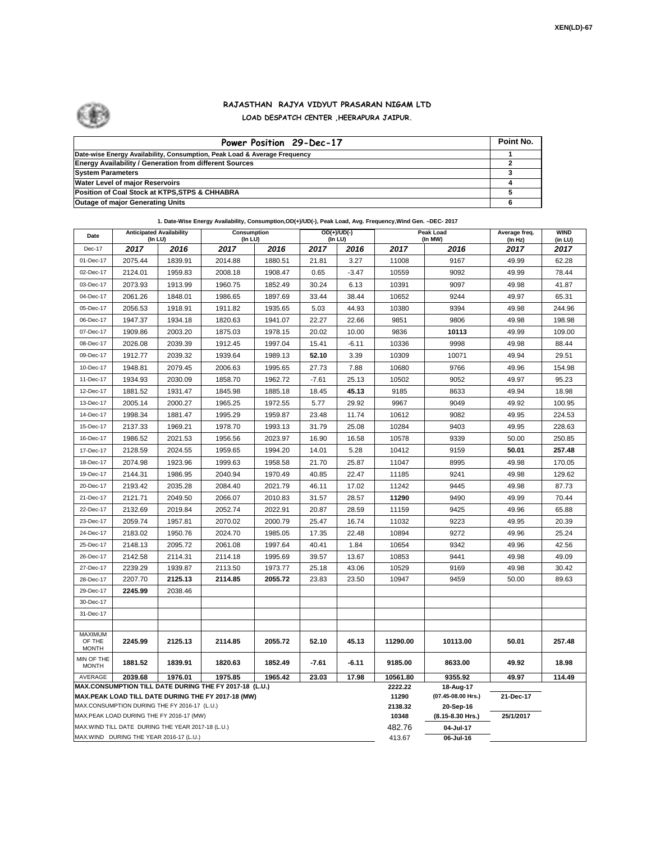

## **RAJASTHAN RAJYA VIDYUT PRASARAN NIGAM LTD LOAD DESPATCH CENTER ,HEERAPURA JAIPUR.**

| Power Position 29-Dec-17                                                  | Point No. |
|---------------------------------------------------------------------------|-----------|
| Date-wise Energy Availability, Consumption, Peak Load & Average Frequency |           |
| <b>Energy Availability / Generation from different Sources</b>            |           |
| <b>System Parameters</b>                                                  |           |
| <b>Water Level of major Reservoirs</b>                                    |           |
| Position of Coal Stock at KTPS, STPS & CHHABRA                            |           |
| <b>Outage of major Generating Units</b>                                   |           |

**1. Date-Wise Energy Availability, Consumption,OD(+)/UD(-), Peak Load, Avg. Frequency,Wind Gen. –DEC- 2017**

| Date                                                                                                         | <b>Anticipated Availability</b><br>(In LU) |         | Consumption<br>(In LU) |         |         | $OD(+)/UD(-)$<br>(In LU) | Peak Load<br>(In MW)            |                  | Average freq.<br>(In Hz) | <b>WIND</b><br>(in LU) |
|--------------------------------------------------------------------------------------------------------------|--------------------------------------------|---------|------------------------|---------|---------|--------------------------|---------------------------------|------------------|--------------------------|------------------------|
| Dec-17                                                                                                       | 2017                                       | 2016    | 2017                   | 2016    | 2017    | 2016                     | 2017                            | 2016             | 2017                     | 2017                   |
| 01-Dec-17                                                                                                    | 2075.44                                    | 1839.91 | 2014.88                | 1880.51 | 21.81   | 3.27                     | 11008                           | 9167             | 49.99                    | 62.28                  |
| 02-Dec-17                                                                                                    | 2124.01                                    | 1959.83 | 2008.18                | 1908.47 | 0.65    | $-3.47$                  | 10559                           | 9092             | 49.99                    | 78.44                  |
| 03-Dec-17                                                                                                    | 2073.93                                    | 1913.99 | 1960.75                | 1852.49 | 30.24   | 6.13                     | 10391                           | 9097             | 49.98                    | 41.87                  |
| 04-Dec-17                                                                                                    | 2061.26                                    | 1848.01 | 1986.65                | 1897.69 | 33.44   | 38.44                    | 10652                           | 9244             | 49.97                    | 65.31                  |
| 05-Dec-17                                                                                                    | 2056.53                                    | 1918.91 | 1911.82                | 1935.65 | 5.03    | 44.93                    | 10380                           | 9394             | 49.98                    | 244.96                 |
| 06-Dec-17                                                                                                    | 1947.37                                    | 1934.18 | 1820.63                | 1941.07 | 22.27   | 22.66                    | 9851                            | 9806             | 49.98                    | 198.98                 |
| 07-Dec-17                                                                                                    | 1909.86                                    | 2003.20 | 1875.03                | 1978.15 | 20.02   | 10.00                    | 9836                            | 10113            | 49.99                    | 109.00                 |
| 08-Dec-17                                                                                                    | 2026.08                                    | 2039.39 | 1912.45                | 1997.04 | 15.41   | $-6.11$                  | 10336                           | 9998             | 49.98                    | 88.44                  |
| 09-Dec-17                                                                                                    | 1912.77                                    | 2039.32 | 1939.64                | 1989.13 | 52.10   | 3.39                     | 10309                           | 10071            | 49.94                    | 29.51                  |
| 10-Dec-17                                                                                                    | 1948.81                                    | 2079.45 | 2006.63                | 1995.65 | 27.73   | 7.88                     | 10680                           | 9766             | 49.96                    | 154.98                 |
| 11-Dec-17                                                                                                    | 1934.93                                    | 2030.09 | 1858.70                | 1962.72 | $-7.61$ | 25.13                    | 10502                           | 9052             | 49.97                    | 95.23                  |
| 12-Dec-17                                                                                                    | 1881.52                                    | 1931.47 | 1845.98                | 1885.18 | 18.45   | 45.13                    | 9185                            | 8633             | 49.94                    | 18.98                  |
| 13-Dec-17                                                                                                    | 2005.14                                    | 2000.27 | 1965.25                | 1972.55 | 5.77    | 29.92                    | 9967                            | 9049             | 49.92                    | 100.95                 |
| 14-Dec-17                                                                                                    | 1998.34                                    | 1881.47 | 1995.29                | 1959.87 | 23.48   | 11.74                    | 10612                           | 9082             | 49.95                    | 224.53                 |
| 15-Dec-17                                                                                                    | 2137.33                                    | 1969.21 | 1978.70                | 1993.13 | 31.79   | 25.08                    | 10284                           | 9403             | 49.95                    | 228.63                 |
| 16-Dec-17                                                                                                    | 1986.52                                    | 2021.53 | 1956.56                | 2023.97 | 16.90   | 16.58                    | 10578                           | 9339             | 50.00                    | 250.85                 |
| 17-Dec-17                                                                                                    | 2128.59                                    | 2024.55 | 1959.65                | 1994.20 | 14.01   | 5.28                     | 10412                           | 9159             | 50.01                    | 257.48                 |
| 18-Dec-17                                                                                                    | 2074.98                                    | 1923.96 | 1999.63                | 1958.58 | 21.70   | 25.87                    | 11047                           | 8995             | 49.98                    | 170.05                 |
| 19-Dec-17                                                                                                    | 2144.31                                    | 1986.95 | 2040.94                | 1970.49 | 40.85   | 22.47                    | 11185                           | 9241             | 49.98                    | 129.62                 |
| 20-Dec-17                                                                                                    | 2193.42                                    | 2035.28 | 2084.40                | 2021.79 | 46.11   | 17.02                    | 11242                           | 9445             | 49.98                    | 87.73                  |
| 21-Dec-17                                                                                                    | 2121.71                                    | 2049.50 | 2066.07                | 2010.83 | 31.57   | 28.57                    | 11290                           | 9490             | 49.99                    | 70.44                  |
| 22-Dec-17                                                                                                    | 2132.69                                    | 2019.84 | 2052.74                | 2022.91 | 20.87   | 28.59                    | 11159                           | 9425             | 49.96                    | 65.88                  |
| 23-Dec-17                                                                                                    | 2059.74                                    | 1957.81 | 2070.02                | 2000.79 | 25.47   | 16.74                    | 11032                           | 9223             | 49.95                    | 20.39                  |
| 24-Dec-17                                                                                                    | 2183.02                                    | 1950.76 | 2024.70                | 1985.05 | 17.35   | 22.48                    | 10894                           | 9272             | 49.96                    | 25.24                  |
| 25-Dec-17                                                                                                    | 2148.13                                    | 2095.72 | 2061.08                | 1997.64 | 40.41   | 1.84                     | 10654                           | 9342             | 49.96                    | 42.56                  |
| 26-Dec-17                                                                                                    | 2142.58                                    | 2114.31 | 2114.18                | 1995.69 | 39.57   | 13.67                    | 10853                           | 9441             | 49.98                    | 49.09                  |
| 27-Dec-17                                                                                                    | 2239.29                                    | 1939.87 | 2113.50                | 1973.77 | 25.18   | 43.06                    | 10529                           | 9169             | 49.98                    | 30.42                  |
| 28-Dec-17                                                                                                    | 2207.70                                    | 2125.13 | 2114.85                | 2055.72 | 23.83   | 23.50                    | 10947                           | 9459             | 50.00                    | 89.63                  |
| 29-Dec-17                                                                                                    | 2245.99                                    | 2038.46 |                        |         |         |                          |                                 |                  |                          |                        |
| 30-Dec-17                                                                                                    |                                            |         |                        |         |         |                          |                                 |                  |                          |                        |
| 31-Dec-17                                                                                                    |                                            |         |                        |         |         |                          |                                 |                  |                          |                        |
| <b>MAXIMUM</b>                                                                                               |                                            |         |                        |         |         |                          |                                 |                  |                          |                        |
| OF THE<br><b>MONTH</b>                                                                                       | 2245.99                                    | 2125.13 | 2114.85                | 2055.72 | 52.10   | 45.13                    | 11290.00                        | 10113.00         | 50.01                    | 257.48                 |
| MIN OF THE<br><b>MONTH</b>                                                                                   | 1881.52                                    | 1839.91 | 1820.63                | 1852.49 | $-7.61$ | $-6.11$                  | 9185.00                         | 8633.00          | 49.92                    | 18.98                  |
| AVERAGE                                                                                                      | 2039.68                                    | 1976.01 | 1975.85                | 1965.42 | 23.03   | 17.98                    | 10561.80                        | 9355.92          | 49.97                    | 114.49                 |
| MAX.CONSUMPTION TILL DATE DURING THE FY 2017-18 (L.U.)<br>MAX.PEAK LOAD TILL DATE DURING THE FY 2017-18 (MW) |                                            |         |                        |         |         | 2222.22<br>11290         | 18-Aug-17<br>(07.45-08.00 Hrs.) | 21-Dec-17        |                          |                        |
| MAX.CONSUMPTION DURING THE FY 2016-17 (L.U.)                                                                 |                                            |         |                        |         |         |                          | 2138.32                         | 20-Sep-16        |                          |                        |
| MAX.PEAK LOAD DURING THE FY 2016-17 (MW)                                                                     |                                            |         |                        |         |         |                          | 10348                           | (8.15-8.30 Hrs.) | 25/1/2017                |                        |
| MAX. WIND TILL DATE DURING THE YEAR 2017-18 (L.U.)                                                           |                                            |         |                        |         |         |                          | 482.76                          | 04-Jul-17        |                          |                        |
| MAX.WIND DURING THE YEAR 2016-17 (L.U.)                                                                      |                                            |         |                        |         |         |                          |                                 | 06-Jul-16        |                          |                        |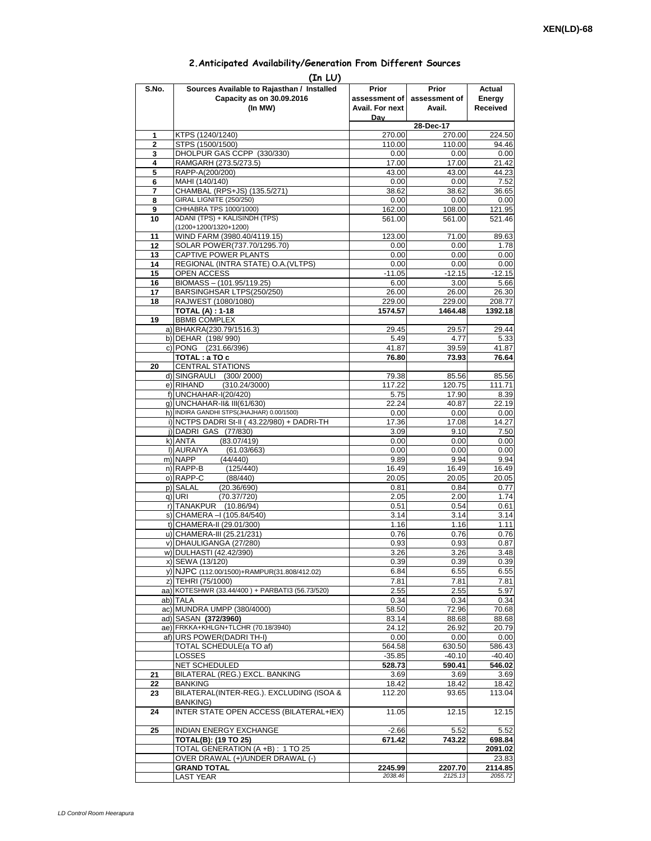## **2.Anticipated Availability/Generation From Different Sources (In LU)**

|                | (IN LU)                                         |                 |               |          |
|----------------|-------------------------------------------------|-----------------|---------------|----------|
| S.No.          | Sources Available to Rajasthan / Installed      | Prior           | Prior         | Actual   |
|                | Capacity as on 30.09.2016                       | assessment of   | assessment of | Energy   |
|                | (In MW)                                         | Avail. For next | Avail.        | Received |
|                |                                                 |                 |               |          |
|                |                                                 | Dav             | 28-Dec-17     |          |
|                |                                                 |                 |               |          |
| 1              | KTPS (1240/1240)                                | 270.00          | 270.00        | 224.50   |
| $\overline{2}$ | STPS (1500/1500)                                | 110.00          | 110.00        | 94.46    |
| 3              | DHOLPUR GAS CCPP (330/330)                      | 0.00            | 0.00          | 0.00     |
| 4              | RAMGARH (273.5/273.5)                           | 17.00           | 17.00         | 21.42    |
| 5              | RAPP-A(200/200)                                 | 43.00           | 43.00         | 44.23    |
| 6              | MAHI (140/140)                                  | 0.00            | 0.00          | 7.52     |
| 7              | CHAMBAL (RPS+JS) (135.5/271)                    | 38.62           | 38.62         | 36.65    |
|                | <b>GIRAL LIGNITE (250/250)</b>                  | 0.00            | 0.00          |          |
| 8              |                                                 |                 |               | 0.00     |
| 9              | CHHABRA TPS 1000/1000)                          | 162.00          | 108.00        | 121.95   |
| 10             | ADANI (TPS) + KALISINDH (TPS)                   | 561.00          | 561.00        | 521.46   |
|                | (1200+1200/1320+1200)                           |                 |               |          |
| 11             | WIND FARM (3980.40/4119.15)                     | 123.00          | 71.00         | 89.63    |
| 12             | SOLAR POWER(737.70/1295.70)                     | 0.00            | 0.00          | 1.78     |
| 13             | CAPTIVE POWER PLANTS                            | 0.00            | 0.00          | 0.00     |
| 14             | REGIONAL (INTRA STATE) O.A. (VLTPS)             | 0.00            | 0.00          | 0.00     |
|                |                                                 |                 |               |          |
| 15             | OPEN ACCESS                                     | $-11.05$        | $-12.15$      | $-12.15$ |
| 16             | BIOMASS - (101.95/119.25)                       | 6.00            | 3.00          | 5.66     |
| 17             | BARSINGHSAR LTPS(250/250)                       | 26.00           | 26.00         | 26.30    |
| 18             | RAJWEST (1080/1080)                             | 229.00          | 229.00        | 208.77   |
|                | <b>TOTAL (A): 1-18</b>                          | 1574.57         | 1464.48       | 1392.18  |
| 19             | <b>BBMB COMPLEX</b>                             |                 |               |          |
|                | a) BHAKRA(230.79/1516.3)                        | 29.45           | 29.57         | 29.44    |
|                |                                                 |                 |               |          |
|                | b) DEHAR (198/990)                              | 5.49            | 4.77          | 5.33     |
|                | c) PONG (231.66/396)                            | 41.87           | 39.59         | 41.87    |
|                | TOTAL: a TO c                                   | 76.80           | 73.93         | 76.64    |
| 20             | <b>CENTRAL STATIONS</b>                         |                 |               |          |
|                | d) SINGRAULI (300/2000)                         | 79.38           | 85.56         | 85.56    |
|                | e) RIHAND<br>(310.24/3000)                      | 117.22          | 120.75        | 111.71   |
|                | f) UNCHAHAR-I(20/420)                           | 5.75            | 17.90         | 8.39     |
|                | g) UNCHAHAR-II& III(61/630)                     | 22.24           | 40.87         | 22.19    |
|                |                                                 |                 |               |          |
|                | h) INDIRA GANDHI STPS(JHAJHAR) 0.00/1500)       | 0.00            | 0.00          | 0.00     |
|                | i) NCTPS DADRI St-II (43.22/980) + DADRI-TH     | 17.36           | 17.08         | 14.27    |
|                | j) DADRI GAS (77/830)                           | 3.09            | 9.10          | 7.50     |
|                | k) ANTA<br>(83.07/419)                          | 0.00            | 0.00          | 0.00     |
|                | I) AURAIYA<br>(61.03/663)                       | 0.00            | 0.00          | 0.00     |
|                | m) NAPP<br>(44/440)                             | 9.89            | 9.94          | 9.94     |
|                | n) RAPP-B<br>(125/440)                          | 16.49           | 16.49         | 16.49    |
|                | o) RAPP-C                                       |                 |               |          |
|                | (88/440)                                        | 20.05           | 20.05         | 20.05    |
|                | p) SALAL<br>(20.36/690)                         | 0.81            | 0.84          | 0.77     |
|                | (70.37/720)<br>$q)$ URI                         | 2.05            | 2.00          | 1.74     |
|                | r) TANAKPUR (10.86/94)                          | 0.51            | 0.54          | 0.61     |
|                | s) CHAMERA - (105.84/540)                       | 3.14            | 3.14          | 3.14     |
|                | t) CHAMERA-II (29.01/300)                       | 1.16            | 1.16          | 1.11     |
|                | u) CHAMERA-III (25.21/231)                      | 0.76            | 0.76          | 0.76     |
|                | v) DHAULIGANGA (27/280)                         | 0.93            | 0.93          | 0.87     |
|                | w) DULHASTI (42.42/390)                         | 3.26            | 3.26          | 3.48     |
|                |                                                 |                 |               |          |
|                | x) SEWA (13/120)                                | 0.39            | 0.39          | 0.39     |
|                | y) NJPC (112.00/1500)+RAMPUR(31.808/412.02)     | 6.84            | 6.55          | 6.55     |
|                | z) TEHRI (75/1000)                              | 7.81            | 7.81          | 7.81     |
|                | aa) KOTESHWR (33.44/400) + PARBATI3 (56.73/520) | 2.55            | 2.55          | 5.97     |
|                | ab) TALA                                        | 0.34            | 0.34          | 0.34     |
|                | ac) MUNDRA UMPP (380/4000)                      | 58.50           | 72.96         | 70.68    |
|                | ad) SASAN (372/3960)                            | 83.14           | 88.68         | 88.68    |
|                | ae) FRKKA+KHLGN+TLCHR (70.18/3940)              |                 |               |          |
|                |                                                 | 24.12           | 26.92         | 20.79    |
|                | af) URS POWER(DADRI TH-I)                       | 0.00            | 0.00          | 0.00     |
|                | TOTAL SCHEDULE(a TO af)                         | 564.58          | 630.50        | 586.43   |
|                | <b>LOSSES</b>                                   | $-35.85$        | $-40.10$      | $-40.40$ |
|                | <b>NET SCHEDULED</b>                            | 528.73          | 590.41        | 546.02   |
| 21             | BILATERAL (REG.) EXCL. BANKING                  | 3.69            | 3.69          | 3.69     |
| 22             | <b>BANKING</b>                                  | 18.42           | 18.42         | 18.42    |
| 23             | BILATERAL(INTER-REG.). EXCLUDING (ISOA &        | 112.20          | 93.65         | 113.04   |
|                |                                                 |                 |               |          |
|                | <b>BANKING)</b>                                 |                 |               |          |
| 24             | INTER STATE OPEN ACCESS (BILATERAL+IEX)         | 11.05           | 12.15         | 12.15    |
|                |                                                 |                 |               |          |
| 25             | <b>INDIAN ENERGY EXCHANGE</b>                   | $-2.66$         | 5.52          | 5.52     |
|                | <b>TOTAL(B): (19 TO 25)</b>                     | 671.42          | 743.22        | 698.84   |
|                | TOTAL GENERATION (A +B) : 1 TO 25               |                 |               | 2091.02  |
|                | OVER DRAWAL (+)/UNDER DRAWAL (-)                |                 |               | 23.83    |
|                | <b>GRAND TOTAL</b>                              | 2245.99         | 2207.70       | 2114.85  |
|                |                                                 | 2038.46         | 2125.13       | 2055.72  |
|                | <b>LAST YEAR</b>                                |                 |               |          |